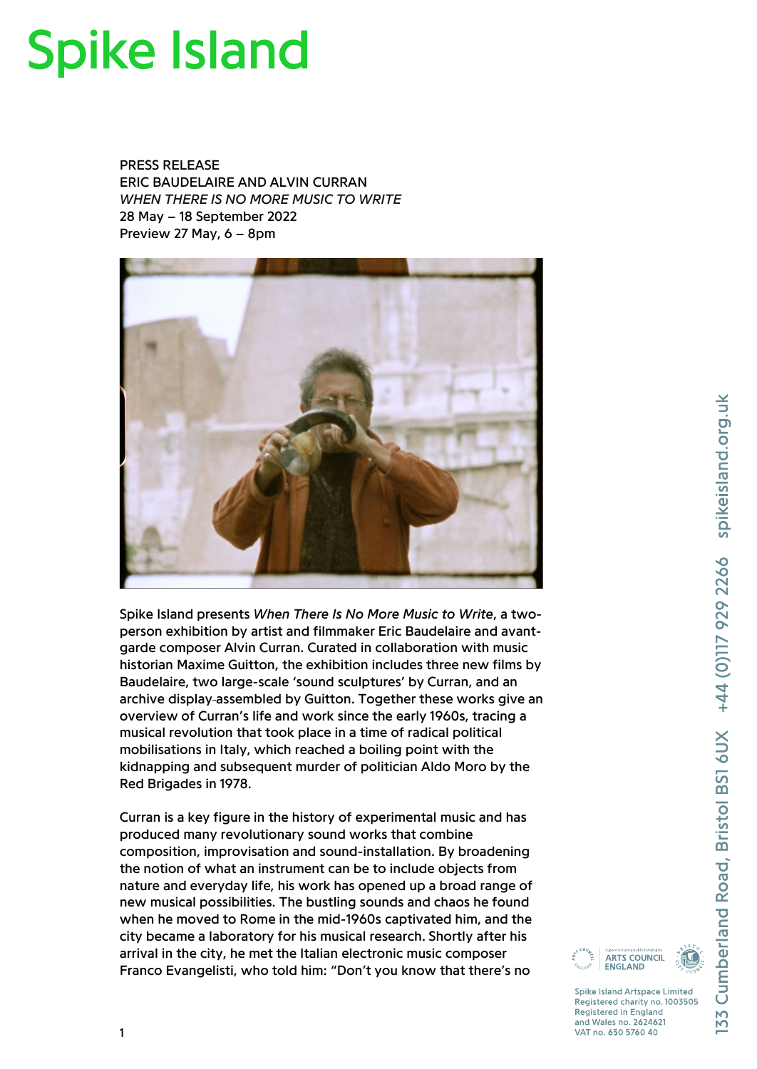# **Spike Island**

PRESS RELEASE ERIC BAUDELAIRE AND ALVIN CURRAN *WHEN THERE IS NO MORE MUSIC TO WRITE* 28 May – 18 September 2022 Preview 27 May, 6 – 8pm



Spike Island presents *When There Is No More Music to Write*, a twoperson exhibition by artist and filmmaker Eric Baudelaire and avantgarde composer Alvin Curran. Curated in collaboration with music historian Maxime Guitton, the exhibition includes three new films by Baudelaire, two large-scale 'sound sculptures' by Curran, and an archive display assembled by Guitton. Together these works give an overview of Curran's life and work since the early 1960s, tracing a musical revolution that took place in a time of radical political mobilisations in Italy, which reached a boiling point with the kidnapping and subsequent murder of politician Aldo Moro by the Red Brigades in 1978.

Curran is a key figure in the history of experimental music and has produced many revolutionary sound works that combine composition, improvisation and sound-installation. By broadening the notion of what an instrument can be to include objects from nature and everyday life, his work has opened up a broad range of new musical possibilities. The bustling sounds and chaos he found when he moved to Rome in the mid-1960s captivated him, and the city became a laboratory for his musical research. Shortly after his arrival in the city, he met the Italian electronic music composer Franco Evangelisti, who told him: "Don't you know that there's no

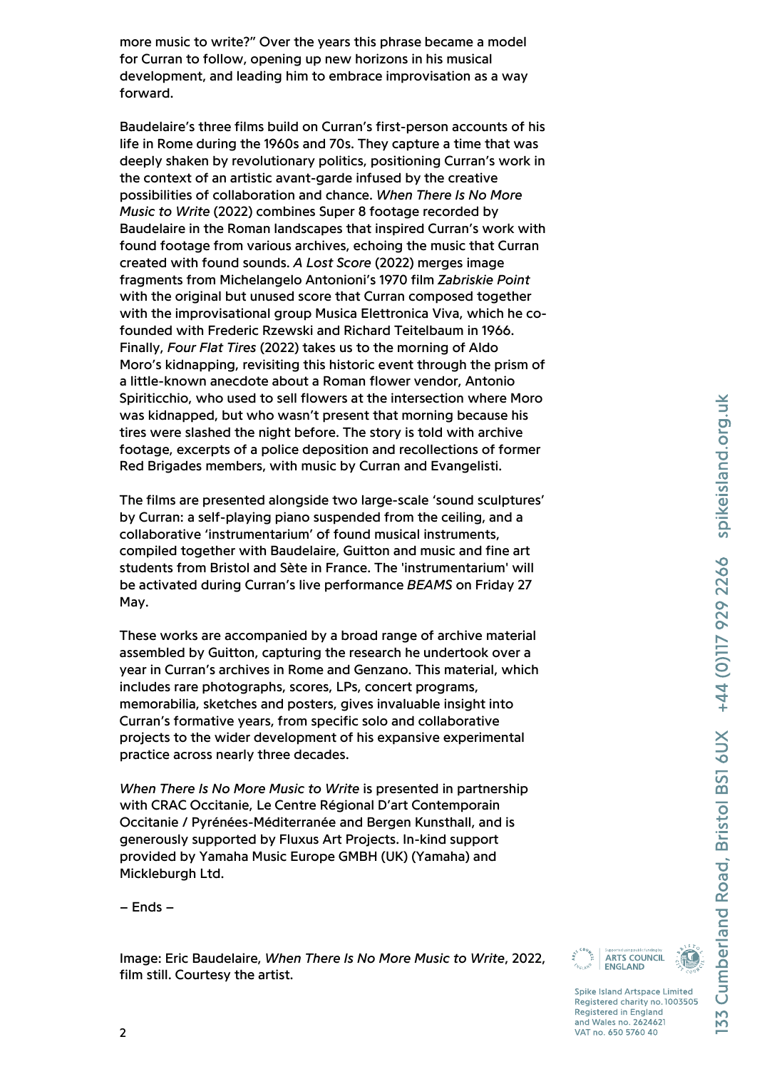more music to write?" Over the years this phrase became a model for Curran to follow, opening up new horizons in his musical development, and leading him to embrace improvisation as a way forward.

Baudelaire's three films build on Curran's first-person accounts of his life in Rome during the 1960s and 70s. They capture a time that was deeply shaken by revolutionary politics, positioning Curran's work in the context of an artistic avant-garde infused by the creative possibilities of collaboration and chance. *When There Is No More Music to Write* (2022) combines Super 8 footage recorded by Baudelaire in the Roman landscapes that inspired Curran's work with found footage from various archives, echoing the music that Curran created with found sounds. *A Lost Score* (2022) merges image fragments from Michelangelo Antonioni's 1970 film *Zabriskie Point* with the original but unused score that Curran composed together with the improvisational group Musica Elettronica Viva, which he cofounded with Frederic Rzewski and Richard Teitelbaum in 1966. Finally, *Four Flat Tires* (2022) takes us to the morning of Aldo Moro's kidnapping, revisiting this historic event through the prism of a little-known anecdote about a Roman flower vendor, Antonio Spiriticchio, who used to sell flowers at the intersection where Moro was kidnapped, but who wasn't present that morning because his tires were slashed the night before. The story is told with archive footage, excerpts of a police deposition and recollections of former Red Brigades members, with music by Curran and Evangelisti.

The films are presented alongside two large-scale 'sound sculptures' by Curran: a self-playing piano suspended from the ceiling, and a collaborative 'instrumentarium' of found musical instruments, compiled together with Baudelaire, Guitton and music and fine art students from Bristol and Sète in France. The 'instrumentarium' will be activated during Curran's live performance *BEAMS* on Friday 27 May.

These works are accompanied by a broad range of archive material assembled by Guitton, capturing the research he undertook over a year in Curran's archives in Rome and Genzano. This material, which includes rare photographs, scores, LPs, concert programs, memorabilia, sketches and posters, gives invaluable insight into Curran's formative years, from specific solo and collaborative projects to the wider development of his expansive experimental practice across nearly three decades.

*When There Is No More Music to Write* is presented in partnership with CRAC Occitanie, Le Centre Régional D'art Contemporain Occitanie / Pyrénées-Méditerranée and Bergen Kunsthall, and is generously supported by Fluxus Art Projects. In-kind support provided by Yamaha Music Europe GMBH (UK) (Yamaha) and Mickleburgh Ltd.

– Ends –

Image: Eric Baudelaire, *When There Is No More Music to Write*, 2022, film still. Courtesy the artist.

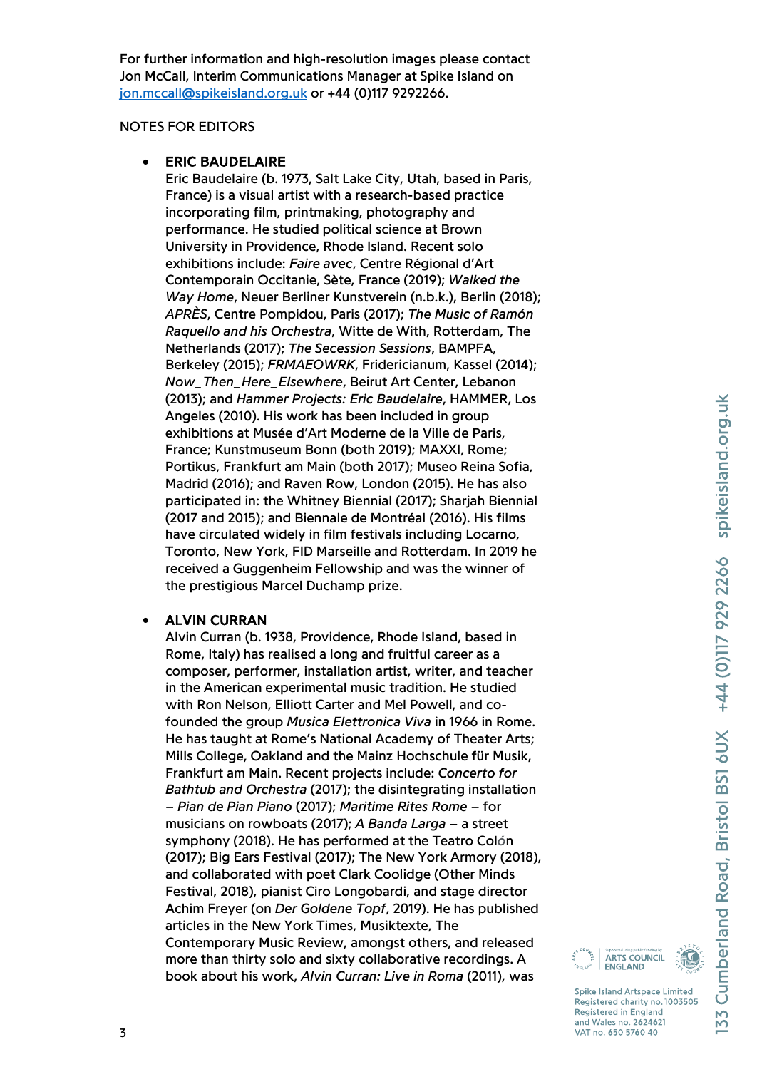For further information and high-resolution images please contact Jon McCall, Interim Communications Manager at Spike Island on [jon.mccall@spikeisland.org.uk](mailto:jon.mccall@spikeisland.org.uk) or +44 (0)117 9292266.

### NOTES FOR EDITORS

## • ERIC BAUDELAIRE

Eric Baudelaire (b. 1973, Salt Lake City, Utah, based in Paris, France) is a visual artist with a research-based practice incorporating film, printmaking, photography and performance. He studied political science at Brown University in Providence, Rhode Island. Recent solo exhibitions include: *Faire avec*, Centre Régional d'Art Contemporain Occitanie, Sète, France (2019); *Walked the Way Home*, Neuer Berliner Kunstverein (n.b.k.), Berlin (2018); *APRÈS*, Centre Pompidou, Paris (2017); *The Music of Ramón Raquello and his Orchestra*, Witte de With, Rotterdam, The Netherlands (2017); *The Secession Sessions*, BAMPFA, Berkeley (2015); *FRMAEOWRK*, Fridericianum, Kassel (2014); *Now\_Then\_Here\_Elsewhere*, Beirut Art Center, Lebanon (2013); and *Hammer Projects: Eric Baudelaire*, HAMMER, Los Angeles (2010). His work has been included in group exhibitions at Musée d'Art Moderne de la Ville de Paris, France; Kunstmuseum Bonn (both 2019); MAXXI, Rome; Portikus, Frankfurt am Main (both 2017); Museo Reina Sofia, Madrid (2016); and Raven Row, London (2015). He has also participated in: the Whitney Biennial (2017); Sharjah Biennial (2017 and 2015); and Biennale de Montréal (2016). His films have circulated widely in film festivals including Locarno, Toronto, New York, FID Marseille and Rotterdam. In 2019 he received a Guggenheim Fellowship and was the winner of the prestigious Marcel Duchamp prize.

# • ALVIN CURRAN

Alvin Curran (b. 1938, Providence, Rhode Island, based in Rome, Italy) has realised a long and fruitful career as a composer, performer, installation artist, writer, and teacher in the American experimental music tradition. He studied with Ron Nelson, Elliott Carter and Mel Powell, and cofounded the group *Musica Elettronica Viva* in 1966 in Rome. He has taught at Rome's National Academy of Theater Arts; Mills College, Oakland and the Mainz Hochschule für Musik, Frankfurt am Main. Recent projects include: *Concerto for Bathtub and Orchestra* (2017); the disintegrating installation – *Pian de Pian Piano* (2017); *Maritime Rites Rome* – for musicians on rowboats (2017); *A Banda Larga* – a street symphony (2018). He has performed at the Teatro Col*ó*n (2017); Big Ears Festival (2017); The New York Armory (2018), and collaborated with poet Clark Coolidge (Other Minds Festival, 2018), pianist Ciro Longobardi, and stage director Achim Freyer (on *Der Goldene Topf*, 2019). He has published articles in the New York Times, Musiktexte, The Contemporary Music Review, amongst others, and released more than thirty solo and sixty collaborative recordings. A book about his work, *Alvin Curran: Live in Roma* (2011), was